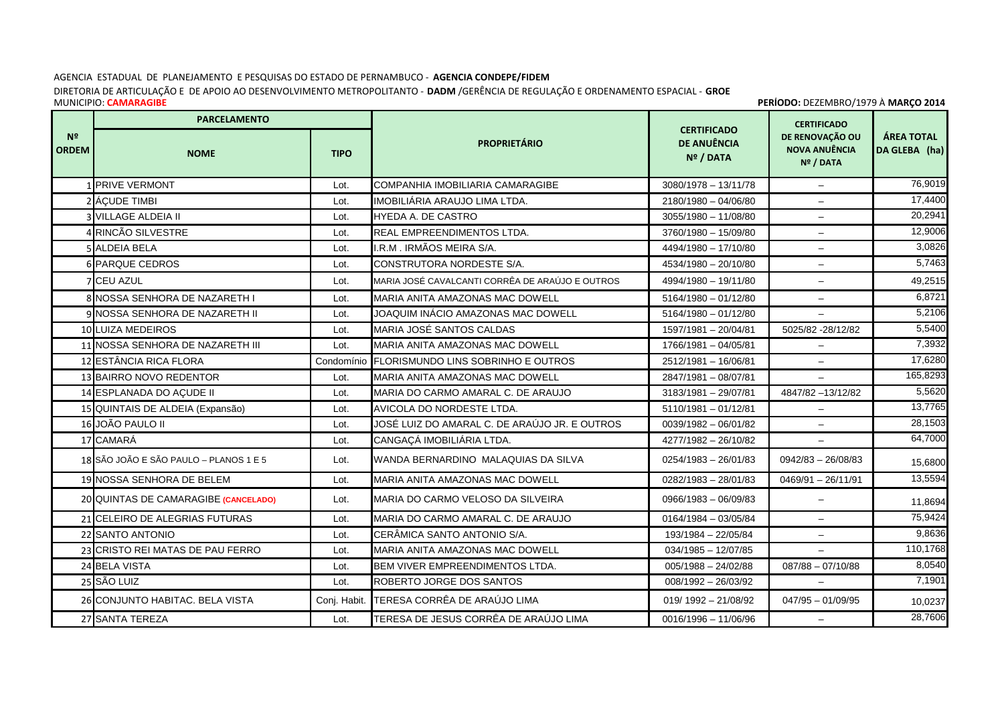## AGENCIA ESTADUAL DE PLANEJAMENTO E PESQUISAS DO ESTADO DE PERNAMBUCO - **AGENCIA CONDEPE/FIDEM**

DIRETORIA DE ARTICULAÇÃO E DE APOIO AO DESENVOLVIMENTO METROPOLITANTO - **DADM** /GERÊNCIA DE REGULAÇÃO E ORDENAMENTO ESPACIAL - **GROE** MUNICIPIO: **CAMARAGIBE** 

 **PERÍODO:** DEZEMBRO/1979 À **MARÇO 2014**

|                                | <b>PARCELAMENTO</b>                    |              |                                                 |                                                       | <b>CERTIFICADO</b>                                   |                                    |
|--------------------------------|----------------------------------------|--------------|-------------------------------------------------|-------------------------------------------------------|------------------------------------------------------|------------------------------------|
| N <sup>2</sup><br><b>ORDEM</b> | <b>NOME</b>                            | <b>TIPO</b>  | <b>PROPRIETÁRIO</b>                             | <b>CERTIFICADO</b><br><b>DE ANUÊNCIA</b><br>Nº / DATA | DE RENOVAÇÃO OU<br><b>NOVA ANUÊNCIA</b><br>Nº / DATA | <b>ÁREA TOTAL</b><br>DA GLEBA (ha) |
|                                | 1 PRIVE VERMONT                        | Lot.         | COMPANHIA IMOBILIARIA CAMARAGIBE                | $3080/1978 - 13/11/78$                                | $\overline{\phantom{0}}$                             | 76,9019                            |
|                                | 2 ÁCUDE TIMBI                          | Lot.         | IMOBILIÁRIA ARAUJO LIMA LTDA.                   | 2180/1980 - 04/06/80                                  | $\equiv$                                             | 17,4400                            |
|                                | 3 VILLAGE ALDEIA II                    | Lot.         | <b>HYEDA A. DE CASTRO</b>                       | 3055/1980 - 11/08/80                                  | $\equiv$                                             | 20,2941                            |
|                                | 4 RINCÃO SILVESTRE                     | Lot.         | REAL EMPREENDIMENTOS LTDA.                      | 3760/1980 - 15/09/80                                  | $-$                                                  | 12,9006                            |
|                                | 5 ALDEIA BELA                          | Lot.         | I.R.M. IRMÃOS MEIRA S/A.                        | 4494/1980 - 17/10/80                                  |                                                      | 3,0826                             |
|                                | <b>6 PARQUE CEDROS</b>                 | Lot.         | CONSTRUTORA NORDESTE S/A.                       | 4534/1980 - 20/10/80                                  | $\overline{\phantom{0}}$                             | 5,7463                             |
|                                | 7 CEU AZUL                             | Lot.         | MARIA JOSÉ CAVALCANTI CORRÊA DE ARAÚJO E OUTROS | 4994/1980 - 19/11/80                                  | $-$                                                  | 49,2515                            |
|                                | 8 NOSSA SENHORA DE NAZARETH I          | Lot.         | <b>MARIA ANITA AMAZONAS MAC DOWELL</b>          | $5164/1980 - 01/12/80$                                | $\overline{\phantom{0}}$                             | 6,8721                             |
|                                | 9 NOSSA SENHORA DE NAZARETH II         | Lot.         | JOAQUIM INÁCIO AMAZONAS MAC DOWELL              | $5164/1980 - 01/12/80$                                | $-$                                                  | 5,2106                             |
|                                | 10 LUIZA MEDEIROS                      | Lot.         | MARIA JOSÉ SANTOS CALDAS                        | 1597/1981 - 20/04/81                                  | 5025/82 - 28/12/82                                   | 5,5400                             |
|                                | 11 NOSSA SENHORA DE NAZARETH III       | Lot.         | <b>MARIA ANITA AMAZONAS MAC DOWELL</b>          | 1766/1981 - 04/05/81                                  | $\overline{\phantom{0}}$                             | 7,3932                             |
|                                | 12 ESTÂNCIA RICA FLORA                 | Condomínio   | <b>FLORISMUNDO LINS SOBRINHO E OUTROS</b>       | 2512/1981 - 16/06/81                                  |                                                      | 17,6280                            |
|                                | 13 BAIRRO NOVO REDENTOR                | Lot.         | MARIA ANITA AMAZONAS MAC DOWELL                 | 2847/1981 - 08/07/81                                  | $\overline{\phantom{0}}$                             | 165,8293                           |
|                                | 14 ESPLANADA DO AÇUDE II               | Lot.         | MARIA DO CARMO AMARAL C. DE ARAUJO              | 3183/1981 - 29/07/81                                  | 4847/82 - 13/12/82                                   | 5,5620                             |
|                                | 15 QUINTAIS DE ALDEIA (Expansão)       | Lot.         | AVICOLA DO NORDESTE LTDA.                       | $5110/1981 - 01/12/81$                                |                                                      | 13,7765                            |
|                                | 16 JOÃO PAULO II                       | Lot.         | JOSÉ LUIZ DO AMARAL C. DE ARAÚJO JR. E OUTROS   | $0039/1982 - 06/01/82$                                | $\equiv$                                             | 28,1503                            |
|                                | 17 CAMARÁ                              | Lot.         | CANGAÇÁ IMOBILIÁRIA LTDA.                       | 4277/1982 - 26/10/82                                  | $\overline{\phantom{a}}$                             | 64,7000                            |
|                                | 18 SÃO JOÃO E SÃO PAULO - PLANOS 1 E 5 | Lot.         | WANDA BERNARDINO MALAQUIAS DA SILVA             | $0254/1983 - 26/01/83$                                | $0942/83 - 26/08/83$                                 | 15,6800                            |
|                                | 19 NOSSA SENHORA DE BELEM              | Lot.         | <b>MARIA ANITA AMAZONAS MAC DOWELL</b>          | $0282/1983 - 28/01/83$                                | $0469/91 - 26/11/91$                                 | 13,5594                            |
|                                | 20 QUINTAS DE CAMARAGIBE (CANCELADO)   | Lot.         | MARIA DO CARMO VELOSO DA SILVEIRA               | 0966/1983 - 06/09/83                                  | $\overline{\phantom{0}}$                             | 11,8694                            |
|                                | 21 CELEIRO DE ALEGRIAS FUTURAS         | Lot.         | MARIA DO CARMO AMARAL C. DE ARAUJO              | $0164/1984 - 03/05/84$                                | $\overline{\phantom{0}}$                             | 75,9424                            |
|                                | 22 SANTO ANTONIO                       | Lot.         | CERÂMICA SANTO ANTONIO S/A.                     | 193/1984 - 22/05/84                                   | $\equiv$                                             | 9,8636                             |
|                                | 23 CRISTO REI MATAS DE PAU FERRO       | Lot.         | <b>MARIA ANITA AMAZONAS MAC DOWELL</b>          | $034/1985 - 12/07/85$                                 | $\equiv$                                             | 110,1768                           |
|                                | 24 BELA VISTA                          | Lot.         | <b>BEM VIVER EMPREENDIMENTOS LTDA.</b>          | $005/1988 - 24/02/88$                                 | $087/88 - 07/10/88$                                  | 8,0540                             |
|                                | 25 SÃO LUIZ                            | Lot.         | ROBERTO JORGE DOS SANTOS                        | $008/1992 - 26/03/92$                                 | $\qquad \qquad -$                                    | 7,1901                             |
|                                | 26 CONJUNTO HABITAC. BELA VISTA        | Conj. Habit. | TERESA CORRÊA DE ARAÚJO LIMA                    | $019/1992 - 21/08/92$                                 | $047/95 - 01/09/95$                                  | 10,0237                            |
|                                | 27 SANTA TEREZA                        | Lot.         | TERESA DE JESUS CORRÊA DE ARAÚJO LIMA           | 0016/1996 - 11/06/96                                  | $\overline{\phantom{0}}$                             | 28,7606                            |